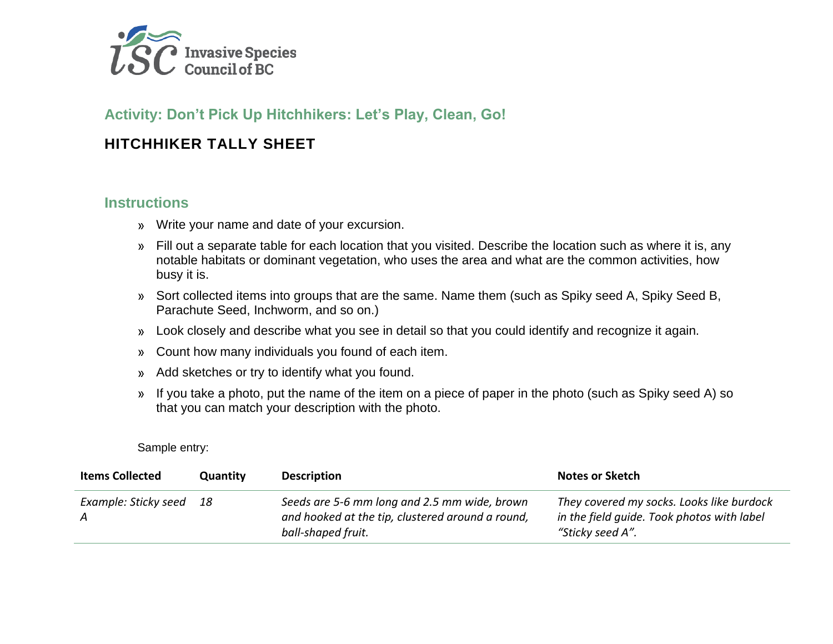

## **Activity: Don't Pick Up Hitchhikers: Let's Play, Clean, Go!**

### **HITCHHIKER TALLY SHEET**

### **Instructions**

- Write your name and date of your excursion.
- Fill out a separate table for each location that you visited. Describe the location such as where it is, any notable habitats or dominant vegetation, who uses the area and what are the common activities, how busy it is.
- Sort collected items into groups that are the same. Name them (such as Spiky seed A, Spiky Seed B, Parachute Seed, Inchworm, and so on.)
- Look closely and describe what you see in detail so that you could identify and recognize it again.
- Count how many individuals you found of each item.
- Add sketches or try to identify what you found.  $\mathcal{P}$
- If you take a photo, put the name of the item on a piece of paper in the photo (such as Spiky seed A) so  $\mathcal{P}$ that you can match your description with the photo.

#### Sample entry:

| <b>Items Collected</b> | Quantity | <b>Description</b>                                                                                                     | <b>Notes or Sketch</b>                                                                                      |
|------------------------|----------|------------------------------------------------------------------------------------------------------------------------|-------------------------------------------------------------------------------------------------------------|
| Example: Sticky seed   | -18      | Seeds are 5-6 mm long and 2.5 mm wide, brown<br>and hooked at the tip, clustered around a round,<br>ball-shaped fruit. | They covered my socks. Looks like burdock<br>in the field quide. Took photos with label<br>"Sticky seed A". |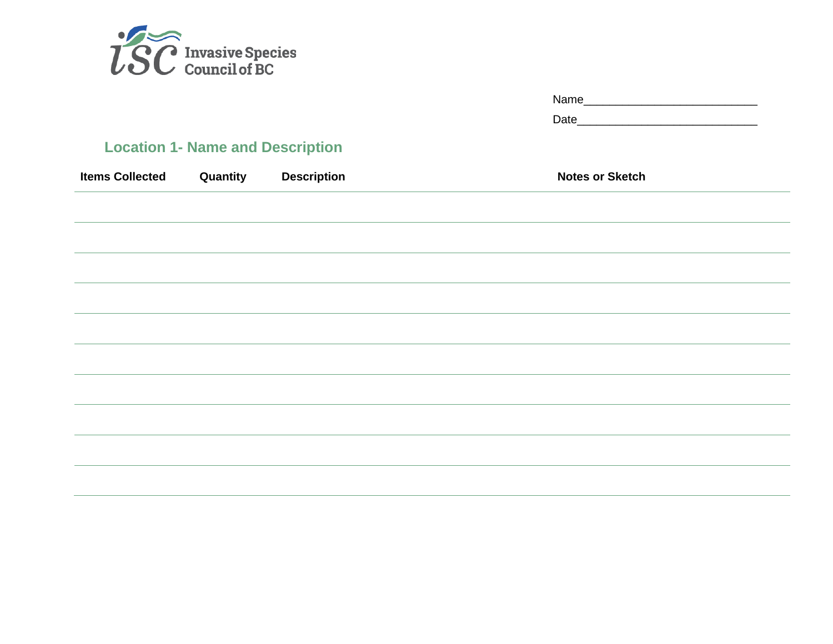

|                                |                             | Name                   |  |  |
|--------------------------------|-----------------------------|------------------------|--|--|
|                                |                             |                        |  |  |
| <b>1- Name and Description</b> |                             |                        |  |  |
|                                | <b>Quantity</b> Description | <b>Notes or Sketch</b> |  |  |
|                                |                             |                        |  |  |
|                                |                             |                        |  |  |
|                                |                             |                        |  |  |
|                                |                             |                        |  |  |
|                                |                             |                        |  |  |
|                                |                             |                        |  |  |
|                                |                             |                        |  |  |
|                                |                             |                        |  |  |
|                                |                             |                        |  |  |
|                                |                             |                        |  |  |

# **Location 1**

**Items Collected**